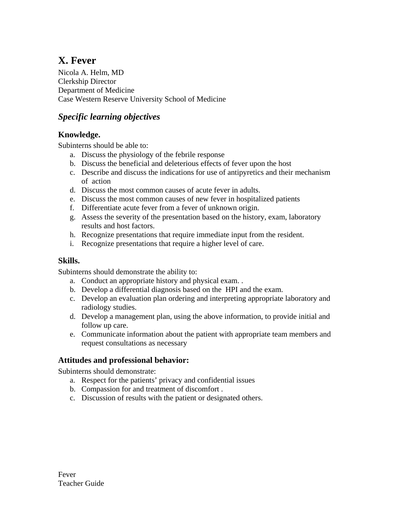# **X. Fever**

Nicola A. Helm, MD Clerkship Director Department of Medicine Case Western Reserve University School of Medicine

# *Specific learning objectives*

## **Knowledge.**

Subinterns should be able to:

- a. Discuss the physiology of the febrile response
- b. Discuss the beneficial and deleterious effects of fever upon the host
- c. Describe and discuss the indications for use of antipyretics and their mechanism of action
- d. Discuss the most common causes of acute fever in adults.
- e. Discuss the most common causes of new fever in hospitalized patients
- f. Differentiate acute fever from a fever of unknown origin.
- g. Assess the severity of the presentation based on the history, exam, laboratory results and host factors.
- h. Recognize presentations that require immediate input from the resident.
- i. Recognize presentations that require a higher level of care.

### **Skills.**

Subinterns should demonstrate the ability to:

- a. Conduct an appropriate history and physical exam. .
- b. Develop a differential diagnosis based on the HPI and the exam.
- c. Develop an evaluation plan ordering and interpreting appropriate laboratory and radiology studies.
- d. Develop a management plan, using the above information, to provide initial and follow up care.
- e. Communicate information about the patient with appropriate team members and request consultations as necessary

# **Attitudes and professional behavior:**

Subinterns should demonstrate:

- a. Respect for the patients' privacy and confidential issues
- b. Compassion for and treatment of discomfort .
- c. Discussion of results with the patient or designated others.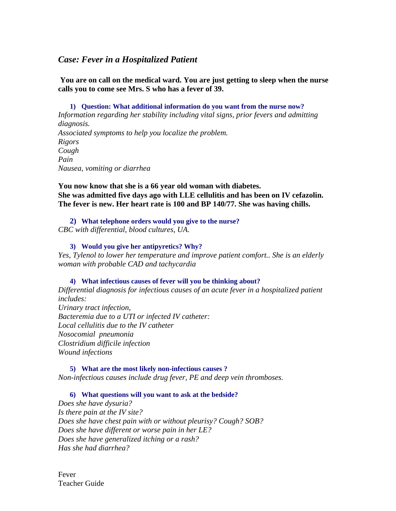### *Case: Fever in a Hospitalized Patient*

 **You are on call on the medical ward. You are just getting to sleep when the nurse calls you to come see Mrs. S who has a fever of 39.** 

**1) Question: What additional information do you want from the nurse now?** *Information regarding her stability including vital signs, prior fevers and admitting diagnosis. Associated symptoms to help you localize the problem. Rigors Cough Pain Nausea, vomiting or diarrhea* 

**You now know that she is a 66 year old woman with diabetes. She was admitted five days ago with LLE cellulitis and has been on IV cefazolin. The fever is new. Her heart rate is 100 and BP 140/77. She was having chills.** 

**2) What telephone orders would you give to the nurse?**  *CBC with differential, blood cultures, UA.* 

### **3) Would you give her antipyretics? Why?**

*Yes, Tylenol to lower her temperature and improve patient comfort.. She is an elderly woman with probable CAD and tachycardia* 

#### **4) What infectious causes of fever will you be thinking about?**

*Differential diagnosis for infectious causes of an acute fever in a hospitalized patient includes: Urinary tract infection, Bacteremia due to a UTI or infected IV catheter: Local cellulitis due to the IV catheter Nosocomial pneumonia Clostridium difficile infection Wound infections* 

**5) What are the most likely non-infectious causes ?**  *Non-infectious causes include drug fever, PE and deep vein thromboses.* 

#### **6) What questions will you want to ask at the bedside?**

*Does she have dysuria? Is there pain at the IV site? Does she have chest pain with or without pleurisy? Cough? SOB? Does she have different or worse pain in her LE? Does she have generalized itching or a rash? Has she had diarrhea?* 

Fever Teacher Guide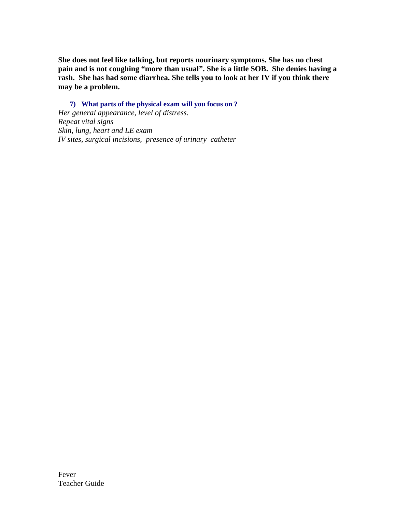**She does not feel like talking, but reports nourinary symptoms. She has no chest pain and is not coughing "more than usual". She is a little SOB. She denies having a rash. She has had some diarrhea. She tells you to look at her IV if you think there may be a problem.** 

**7) What parts of the physical exam will you focus on ?**  *Her general appearance, level of distress. Repeat vital signs Skin, lung, heart and LE exam IV sites, surgical incisions, presence of urinary catheter*